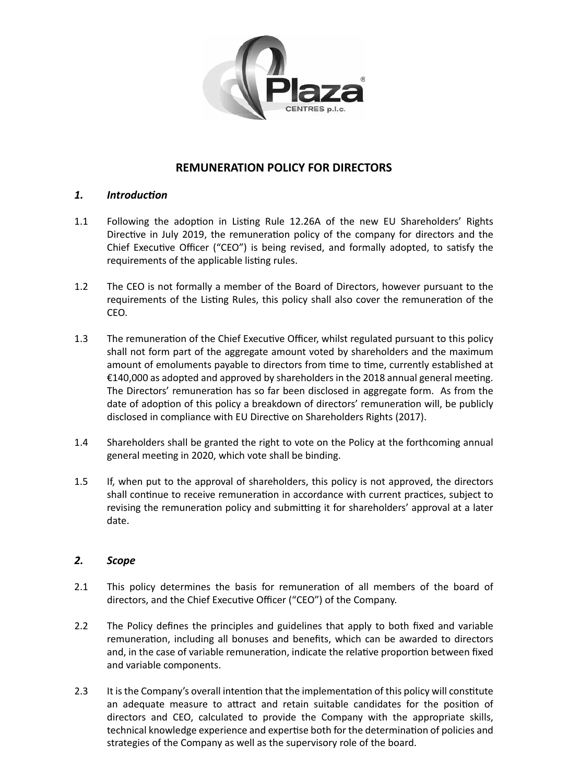

# **REMUNERATION POLICY FOR DIRECTORS**

## *1. Introduction*

- 1.1 Following the adoption in Listing Rule 12.26A of the new EU Shareholders' Rights Directive in July 2019, the remuneration policy of the company for directors and the Chief Executive Officer ("CEO") is being revised, and formally adopted, to satisfy the requirements of the applicable listing rules.
- 1.2 The CEO is not formally a member of the Board of Directors, however pursuant to the requirements of the Listing Rules, this policy shall also cover the remuneration of the CEO.
- 1.3 The remuneration of the Chief Executive Officer, whilst regulated pursuant to this policy shall not form part of the aggregate amount voted by shareholders and the maximum amount of emoluments payable to directors from time to time, currently established at €140,000 as adopted and approved by shareholders in the 2018 annual general meeting. The Directors' remuneration has so far been disclosed in aggregate form. As from the date of adoption of this policy a breakdown of directors' remuneration will, be publicly disclosed in compliance with EU Directive on Shareholders Rights (2017).
- 1.4 Shareholders shall be granted the right to vote on the Policy at the forthcoming annual general meeting in 2020, which vote shall be binding.
- 1.5 If, when put to the approval of shareholders, this policy is not approved, the directors shall continue to receive remuneration in accordance with current practices, subject to revising the remuneration policy and submitting it for shareholders' approval at a later date.

## *2. Scope*

- 2.1 This policy determines the basis for remuneration of all members of the board of directors, and the Chief Executive Officer ("CEO") of the Company.
- 2.2 The Policy defines the principles and guidelines that apply to both fixed and variable remuneration, including all bonuses and benefits, which can be awarded to directors and, in the case of variable remuneration, indicate the relative proportion between fixed and variable components.
- 2.3 It isthe Company's overall intention that the implementation of this policy will constitute an adequate measure to attract and retain suitable candidates for the position of directors and CEO, calculated to provide the Company with the appropriate skills, technical knowledge experience and expertise both for the determination of policies and strategies of the Company as well as the supervisory role of the board.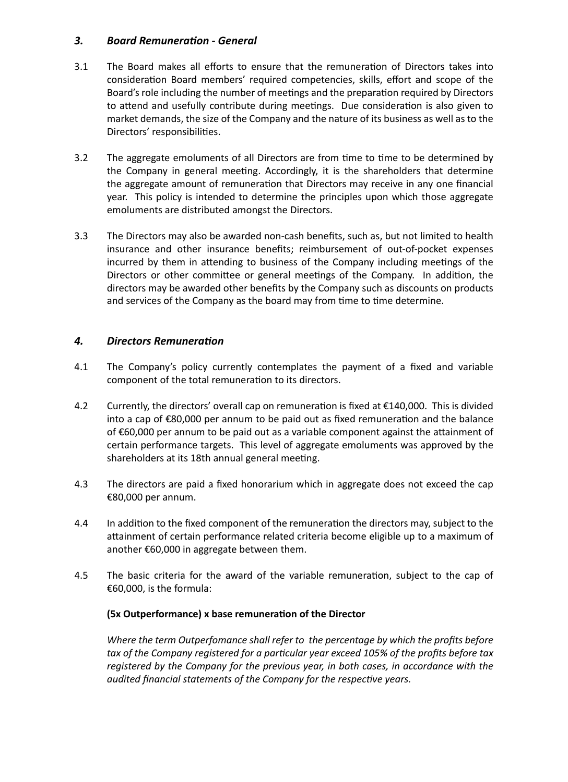#### *3. Board Remuneration - General*

- 3.1 The Board makes all efforts to ensure that the remuneration of Directors takes into consideration Board members' required competencies, skills, effort and scope of the Board's role including the number of meetings and the preparation required by Directors to attend and usefully contribute during meetings. Due consideration is also given to market demands, the size of the Company and the nature of its business as well as to the Directors' responsibilities.
- 3.2 The aggregate emoluments of all Directors are from time to time to be determined by the Company in general meeting. Accordingly, it is the shareholders that determine the aggregate amount of remuneration that Directors may receive in any one financial year. This policy is intended to determine the principles upon which those aggregate emoluments are distributed amongst the Directors.
- 3.3 The Directors may also be awarded non-cash benefits, such as, but not limited to health insurance and other insurance benefits; reimbursement of out-of-pocket expenses incurred by them in attending to business of the Company including meetings of the Directors or other committee or general meetings of the Company. In addition, the directors may be awarded other benefits by the Company such as discounts on products and services of the Company as the board may from time to time determine.

## *4. Directors Remuneration*

- 4.1 The Company's policy currently contemplates the payment of a fixed and variable component of the total remuneration to its directors.
- 4.2 Currently, the directors' overall cap on remuneration is fixed at €140,000. This is divided into a cap of €80,000 per annum to be paid out as fixed remuneration and the balance of €60,000 per annum to be paid out as a variable component against the attainment of certain performance targets. This level of aggregate emoluments was approved by the shareholders at its 18th annual general meeting.
- 4.3 The directors are paid a fixed honorarium which in aggregate does not exceed the cap €80,000 per annum.
- 4.4 In addition to the fixed component of the remuneration the directors may, subject to the attainment of certain performance related criteria become eligible up to a maximum of another €60,000 in aggregate between them.
- 4.5 The basic criteria for the award of the variable remuneration, subject to the cap of €60,000, is the formula:

## **(5x Outperformance) x base remuneration of the Director**

*Where the term Outperfomance shall refer to the percentage by which the profits before tax of the Company registered for a particular year exceed 105% of the profits before tax registered by the Company for the previous year, in both cases, in accordance with the audited financial statements of the Company for the respective years.*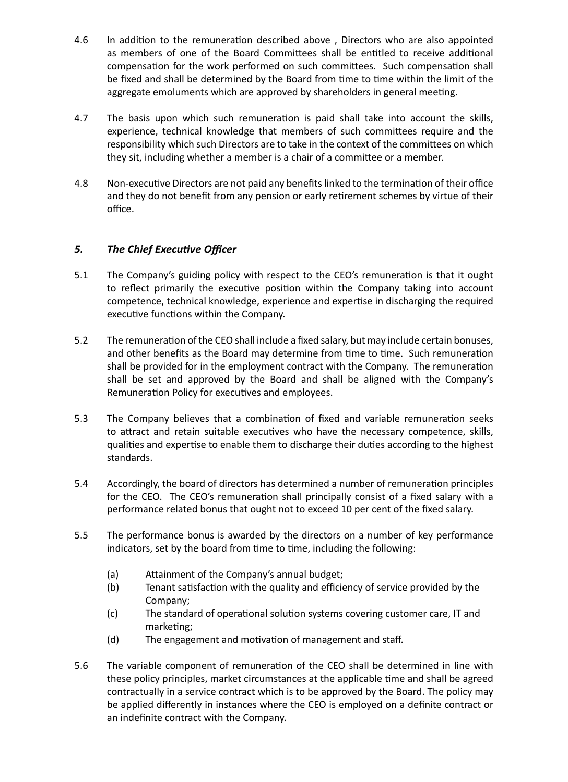- 4.6 In addition to the remuneration described above, Directors who are also appointed as members of one of the Board Committees shall be entitled to receive additional compensation for the work performed on such committees. Such compensation shall be fixed and shall be determined by the Board from time to time within the limit of the aggregate emoluments which are approved by shareholders in general meeting.
- 4.7 The basis upon which such remuneration is paid shall take into account the skills, experience, technical knowledge that members of such committees require and the responsibility which such Directors are to take in the context of the committees on which they sit, including whether a member is a chair of a committee or a member.
- 4.8 Non-executive Directors are not paid any benefitslinked to the termination of their office and they do not benefit from any pension or early retirement schemes by virtue of their office.

# *5. The Chief Executive Officer*

- 5.1 The Company's guiding policy with respect to the CEO's remuneration is that it ought to reflect primarily the executive position within the Company taking into account competence, technical knowledge, experience and expertise in discharging the required executive functions within the Company.
- 5.2 The remuneration of the CEO shall include a fixed salary, but may include certain bonuses, and other benefits as the Board may determine from time to time. Such remuneration shall be provided for in the employment contract with the Company. The remuneration shall be set and approved by the Board and shall be aligned with the Company's Remuneration Policy for executives and employees.
- 5.3 The Company believes that a combination of fixed and variable remuneration seeks to attract and retain suitable executives who have the necessary competence, skills, qualities and expertise to enable them to discharge their duties according to the highest standards.
- 5.4 Accordingly, the board of directors has determined a number of remuneration principles for the CEO. The CEO's remuneration shall principally consist of a fixed salary with a performance related bonus that ought not to exceed 10 per cent of the fixed salary.
- 5.5 The performance bonus is awarded by the directors on a number of key performance indicators, set by the board from time to time, including the following:
	- (a) Attainment of the Company's annual budget;
	- (b) Tenant satisfaction with the quality and efficiency of service provided by the Company;
	- (c) The standard of operational solution systems covering customer care, IT and marketing;
	- (d) The engagement and motivation of management and staff.
- 5.6 The variable component of remuneration of the CEO shall be determined in line with these policy principles, market circumstances at the applicable time and shall be agreed contractually in a service contract which is to be approved by the Board. The policy may be applied differently in instances where the CEO is employed on a definite contract or an indefinite contract with the Company.